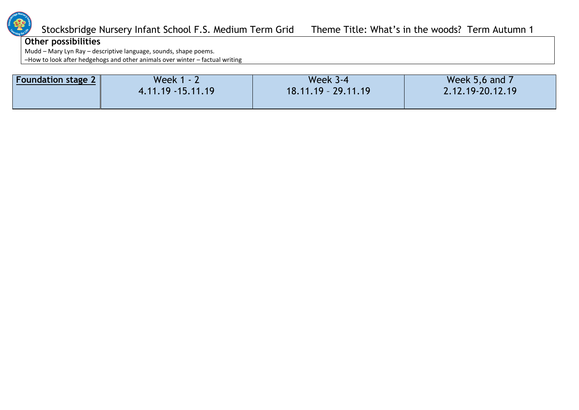

## **Other possibilities**

Mudd – Mary Lyn Ray – descriptive language, sounds, shape poems.

–How to look after hedgehogs and other animals over winter – factual writing

| <b>Foundation stage 2</b> | Week $1 - 2$         | <b>Week 3-4</b>       | Week 5,6 and 7   |
|---------------------------|----------------------|-----------------------|------------------|
|                           | $4.11.19 - 15.11.19$ | $18.11.19 - 29.11.19$ | 2.12.19-20.12.19 |
|                           |                      |                       |                  |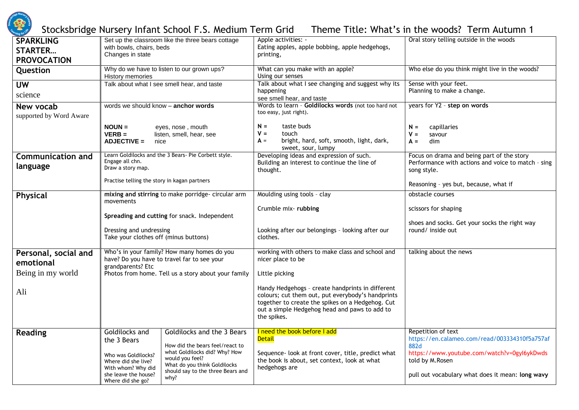

| <b>SPARKLING</b><br><b>STARTER</b>   | Set up the classroom like the three bears cottage<br>with bowls, chairs, beds                                                                                                                                                                                                                                                                    | Apple activities: -<br>Eating apples, apple bobbing, apple hedgehogs,                                                                                                                                                     | Oral story telling outside in the woods                                                                                                                                                           |  |
|--------------------------------------|--------------------------------------------------------------------------------------------------------------------------------------------------------------------------------------------------------------------------------------------------------------------------------------------------------------------------------------------------|---------------------------------------------------------------------------------------------------------------------------------------------------------------------------------------------------------------------------|---------------------------------------------------------------------------------------------------------------------------------------------------------------------------------------------------|--|
| <b>PROVOCATION</b>                   | Changes in state                                                                                                                                                                                                                                                                                                                                 | printing,                                                                                                                                                                                                                 |                                                                                                                                                                                                   |  |
| Question                             | Why do we have to listen to our grown ups?<br>History memories                                                                                                                                                                                                                                                                                   | What can you make with an apple?<br>Using our senses                                                                                                                                                                      | Who else do you think might live in the woods?                                                                                                                                                    |  |
| <b>UW</b>                            | Talk about what I see smell hear, and taste                                                                                                                                                                                                                                                                                                      | Talk about what I see changing and suggest why its                                                                                                                                                                        | Sense with your feet.                                                                                                                                                                             |  |
| science                              |                                                                                                                                                                                                                                                                                                                                                  | happening<br>see smell hear, and taste                                                                                                                                                                                    | Planning to make a change.                                                                                                                                                                        |  |
| New vocab<br>supported by Word Aware | words we should know - anchor words                                                                                                                                                                                                                                                                                                              | Words to learn - Goldilocks words (not too hard not<br>too easy, just right).                                                                                                                                             | years for Y2 - step on words                                                                                                                                                                      |  |
|                                      | $NOUN =$<br>eyes, nose, mouth<br><b>VERB =</b><br>listen, smell, hear, see<br><b>ADJECTIVE =</b><br>nice                                                                                                                                                                                                                                         | taste buds<br>$N =$<br>$V =$<br>touch<br>bright, hard, soft, smooth, light, dark,<br>$A =$<br>sweet, sour, lumpy                                                                                                          | capillaries<br>$N =$<br>$V =$<br>savour<br>$A =$<br>dim                                                                                                                                           |  |
| <b>Communication and</b><br>language | Learn Goldilocks and the 3 Bears- Pie Corbett style.<br>Engage all chn.<br>Draw a story map.                                                                                                                                                                                                                                                     | Developing ideas and expression of such.<br>Building an interest to continue the line of<br>thought.                                                                                                                      | Focus on drama and being part of the story<br>Performance with actions and voice to match - sing<br>song style.                                                                                   |  |
|                                      | Practise telling the story in kagan partners                                                                                                                                                                                                                                                                                                     |                                                                                                                                                                                                                           | Reasoning - yes but, because, what if                                                                                                                                                             |  |
| Physical                             | mixing and stirring to make porridge- circular arm<br>movements                                                                                                                                                                                                                                                                                  | Moulding using tools - clay                                                                                                                                                                                               | obstacle courses                                                                                                                                                                                  |  |
|                                      |                                                                                                                                                                                                                                                                                                                                                  | Crumble mix-rubbing                                                                                                                                                                                                       | scissors for shaping                                                                                                                                                                              |  |
|                                      | Spreading and cutting for snack. Independent<br>Dressing and undressing<br>Take your clothes off (minus buttons)                                                                                                                                                                                                                                 | Looking after our belongings - looking after our<br>clothes.                                                                                                                                                              | shoes and socks. Get your socks the right way<br>round/ inside out                                                                                                                                |  |
| Personal, social and<br>emotional    | Who's in your family? How many homes do you<br>have? Do you have to travel far to see your<br>grandparents? Etc                                                                                                                                                                                                                                  | working with others to make class and school and<br>nicer place to be                                                                                                                                                     | talking about the news                                                                                                                                                                            |  |
| Being in my world                    | Photos from home. Tell us a story about your family                                                                                                                                                                                                                                                                                              | Little picking                                                                                                                                                                                                            |                                                                                                                                                                                                   |  |
| Ali                                  |                                                                                                                                                                                                                                                                                                                                                  | Handy Hedgehogs - create handprints in different<br>colours; cut them out, put everybody's handprints<br>together to create the spikes on a Hedgehog. Cut<br>out a simple Hedgehog head and paws to add to<br>the spikes. |                                                                                                                                                                                                   |  |
| <b>Reading</b>                       | Goldilocks and<br>Goldilocks and the 3 Bears<br>the 3 Bears<br>How did the bears feel/react to<br>what Goldilocks did? Why? How<br>Who was Goldilocks?<br>would you feel?<br>Where did she live?<br>What do you think Goldilocks<br>With whom? Why did<br>should say to the three Bears and<br>she leave the house?<br>why?<br>Where did she go? | I need the book before I add<br><b>Detail</b><br>Sequence- look at front cover, title, predict what<br>the book is about, set context, look at what<br>hedgehogs are                                                      | Repetition of text<br>https://en.calameo.com/read/003334310f5a757af<br>882d<br>https://www.youtube.com/watch?v=0gyl6ykDwds<br>told by M.Rosen<br>pull out vocabulary what does it mean: long wavy |  |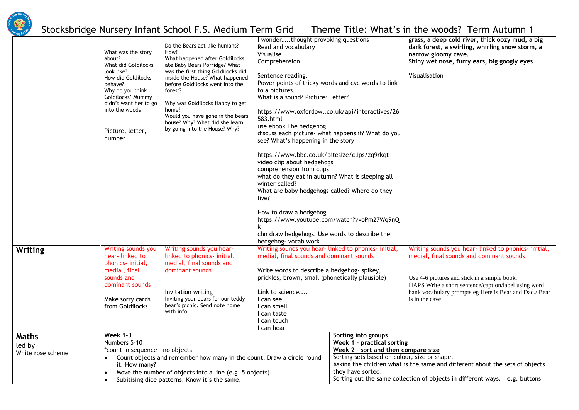

**Writing** 

**Maths**  led by White rose

|        | What was the story<br>about?<br>What did Goldilocks<br>look like?<br>How did Goldilocks<br>behave?<br>Why do you think<br>Goldilocks' Mummy<br>didn't want her to go<br>into the woods<br>Picture, letter,<br>number | Do the Bears act like humans?<br>How?<br>What happened after Goldilocks<br>ate Baby Bears Porridge? What<br>was the first thing Goldilocks did<br>inside the House? What happened<br>before Goldilocks went into the<br>forest?<br>Why was Goldilocks Happy to get<br>home?<br>Would you have gone in the bears<br>house? Why? What did she learn<br>by going into the House? Why? | I wonderthought provoking questions<br>Read and vocabulary<br>Visualise<br>Comprehension<br>Sentence reading.<br>Power points of tricky words and cvc words to link<br>to a pictures.<br>What is a sound? Picture? Letter?<br>https://www.oxfordowl.co.uk/api/interactives/26<br>583.html<br>use ebook The hedgehog<br>discuss each picture- what happens if? What do you<br>see? What's happening in the story<br>https://www.bbc.co.uk/bitesize/clips/zq9rkqt<br>video clip about hedgehogs<br>comprehension from clips<br>what do they eat in autumn? What is sleeping all<br>winter called?<br>What are baby hedgehogs called? Where do they<br>live?<br>How to draw a hedgehog<br>https://www.youtube.com/watch?v=oPm27Wq9nQ<br>chn draw hedgehogs. Use words to describe the<br>hedgehog- vocab work |                                                                                                                                                               | grass, a deep cold river, thick oozy mud, a big<br>dark forest, a swirling, whirling snow storm, a<br>narrow gloomy cave.<br>Shiny wet nose, furry ears, big googly eyes<br>Visualisation                                                                                             |
|--------|----------------------------------------------------------------------------------------------------------------------------------------------------------------------------------------------------------------------|------------------------------------------------------------------------------------------------------------------------------------------------------------------------------------------------------------------------------------------------------------------------------------------------------------------------------------------------------------------------------------|------------------------------------------------------------------------------------------------------------------------------------------------------------------------------------------------------------------------------------------------------------------------------------------------------------------------------------------------------------------------------------------------------------------------------------------------------------------------------------------------------------------------------------------------------------------------------------------------------------------------------------------------------------------------------------------------------------------------------------------------------------------------------------------------------------|---------------------------------------------------------------------------------------------------------------------------------------------------------------|---------------------------------------------------------------------------------------------------------------------------------------------------------------------------------------------------------------------------------------------------------------------------------------|
|        | Writing sounds you<br>hear-linked to<br>phonics- initial,<br>medial, final<br>sounds and<br>dominant sounds<br>Make sorry cards<br>from Goldilocks                                                                   | Writing sounds you hear-<br>linked to phonics- initial,<br>medial, final sounds and<br>dominant sounds<br>Invitation writing<br>Inviting your bears for our teddy<br>bear's picnic. Send note home<br>with info                                                                                                                                                                    | Writing sounds you hear-linked to phonics-initial,<br>medial, final sounds and dominant sounds<br>Write words to describe a hedgehog- spikey,<br>prickles, brown, small (phonetically plausible)<br>Link to science<br>I can see<br>I can smell<br>I can taste<br>I can touch<br>I can hear                                                                                                                                                                                                                                                                                                                                                                                                                                                                                                                |                                                                                                                                                               | Writing sounds you hear-linked to phonics-initial,<br>medial, final sounds and dominant sounds<br>Use 4-6 pictures and stick in a simple book.<br>HAPS Write a short sentence/caption/label using word<br>bank vocabulary prompts eg Here is Bear and Dad./ Bear<br>is in the cave. . |
| scheme | <b>Week 1-3</b><br>Numbers 5-10<br>*count in sequence - no objects<br>$\bullet$<br>it. How many?<br>$\bullet$                                                                                                        | Count objects and remember how many in the count. Draw a circle round<br>Move the number of objects into a line (e.g. 5 objects)<br>Subitising dice patterns. Know it's the same.                                                                                                                                                                                                  |                                                                                                                                                                                                                                                                                                                                                                                                                                                                                                                                                                                                                                                                                                                                                                                                            | Sorting into groups<br>Week 1 - practical sorting<br>Week 2 - sort and then compare size<br>Sorting sets based on colour, size or shape.<br>they have sorted. | Asking the children what is the same and different about the sets of objects<br>Sorting out the same collection of objects in different ways. - e.g. buttons -                                                                                                                        |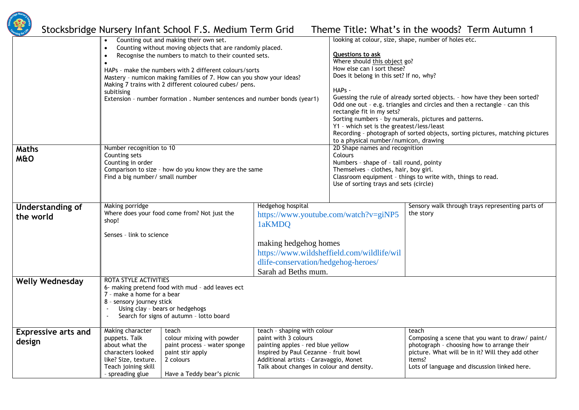

|                                      | Counting out and making their own set.<br>Counting without moving objects that are randomly placed.<br>$\bullet$<br>Recognise the numbers to match to their counted sets.<br>$\bullet$<br>HAPs - make the numbers with 2 different colours/sorts<br>Mastery - numicon making families of 7. How can you show your ideas?<br>Making 7 trains with 2 different coloured cubes/ pens.<br>subitising<br>Extension - number formation. Number sentences and number bonds (year1) |                                                                                                                                   | looking at colour, size, shape, number of holes etc.<br>Questions to ask<br>Where should this object go?<br>How else can I sort these?<br>Does it belong in this set? If no, why?<br>HAPs -<br>Guessing the rule of already sorted objects. - how have they been sorted?<br>Odd one out - e.g. triangles and circles and then a rectangle - can this<br>rectangle fit in my sets? |                                                                                                                                                              |                                                                                                                                                                                                                      |  |
|--------------------------------------|-----------------------------------------------------------------------------------------------------------------------------------------------------------------------------------------------------------------------------------------------------------------------------------------------------------------------------------------------------------------------------------------------------------------------------------------------------------------------------|-----------------------------------------------------------------------------------------------------------------------------------|-----------------------------------------------------------------------------------------------------------------------------------------------------------------------------------------------------------------------------------------------------------------------------------------------------------------------------------------------------------------------------------|--------------------------------------------------------------------------------------------------------------------------------------------------------------|----------------------------------------------------------------------------------------------------------------------------------------------------------------------------------------------------------------------|--|
|                                      |                                                                                                                                                                                                                                                                                                                                                                                                                                                                             |                                                                                                                                   | Sorting numbers - by numerals, pictures and patterns.<br>Y1 - which set is the greatest/less/least<br>Recording - photograph of sorted objects, sorting pictures, matching pictures<br>to a physical number/numicon, drawing                                                                                                                                                      |                                                                                                                                                              |                                                                                                                                                                                                                      |  |
| <b>Maths</b><br><b>M&amp;O</b>       | Number recognition to 10<br>Counting sets<br>Counting in order<br>Find a big number/ small number                                                                                                                                                                                                                                                                                                                                                                           | Colours<br>Comparison to size - how do you know they are the same                                                                 |                                                                                                                                                                                                                                                                                                                                                                                   | 2D Shape names and recognition<br>Numbers - shape of - tall round, pointy<br>Themselves - clothes, hair, boy girl.<br>Use of sorting trays and sets (circle) | Classroom equipment - things to write with, things to read.                                                                                                                                                          |  |
| <b>Understanding of</b><br>the world | Making porridge<br>shop!<br>Senses - link to science                                                                                                                                                                                                                                                                                                                                                                                                                        | Where does your food come from? Not just the                                                                                      | Hedgehog hospital<br>1aKMDO<br>making hedgehog homes<br>dlife-conservation/hedgehog-heroes/<br>Sarah ad Beths mum.                                                                                                                                                                                                                                                                | https://www.youtube.com/watch?v=giNP5<br>https://www.wildsheffield.com/wildlife/wil                                                                          | Sensory walk through trays representing parts of<br>the story                                                                                                                                                        |  |
| <b>Welly Wednesday</b>               | ROTA STYLE ACTIVITIES<br>7 - make a home for a bear<br>8 - sensory journey stick                                                                                                                                                                                                                                                                                                                                                                                            | 6- making pretend food with mud - add leaves ect<br>Using clay - bears or hedgehogs<br>Search for signs of autumn - lotto board   |                                                                                                                                                                                                                                                                                                                                                                                   |                                                                                                                                                              |                                                                                                                                                                                                                      |  |
| <b>Expressive arts and</b><br>design | Making character<br>puppets. Talk<br>about what the<br>characters looked<br>like? Size, texture.<br>Teach joining skill<br>- spreading glue                                                                                                                                                                                                                                                                                                                                 | teach<br>colour mixing with powder<br>paint process - water sponge<br>paint stir apply<br>2 colours<br>Have a Teddy bear's picnic | teach - shaping with colour<br>paint with 3 colours<br>painting apples - red blue yellow<br>Inspired by Paul Cezanne - fruit bowl<br>Additional artists - Caravaggio, Monet<br>Talk about changes in colour and density.                                                                                                                                                          |                                                                                                                                                              | teach<br>Composing a scene that you want to draw/ paint/<br>photograph - choosing how to arrange their<br>picture. What will be in it? Will they add other<br>items?<br>Lots of language and discussion linked here. |  |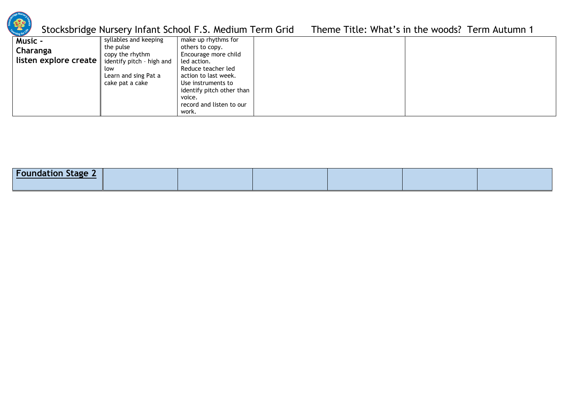

| identify pitch other than<br>voice.<br>record and listen to our |
|-----------------------------------------------------------------|
|-----------------------------------------------------------------|

| <b>Foundation Stage 2</b> |  |  |  |
|---------------------------|--|--|--|
|                           |  |  |  |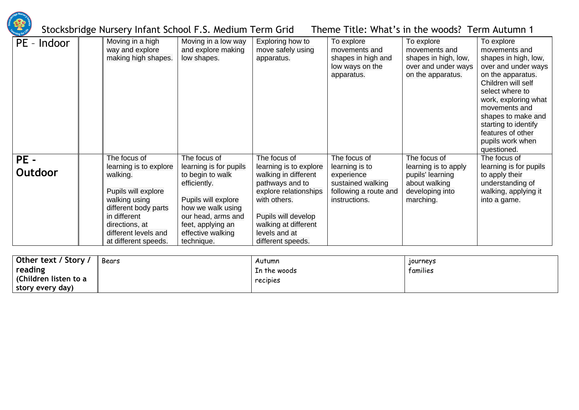

| PE - Indoor    | Moving in a high<br>way and explore<br>making high shapes.                                                                                                                                           | Moving in a low way<br>and explore making<br>low shapes.                                                                                                                                             | Exploring how to<br>move safely using<br>apparatus.                                                                                                                                                             | To explore<br>movements and<br>shapes in high and<br>low ways on the<br>apparatus.                          | To explore<br>movements and<br>shapes in high, low,<br>over and under ways<br>on the apparatus.           | To explore<br>movements and<br>shapes in high, low,<br>over and under ways<br>on the apparatus.<br>Children will self<br>select where to<br>work, exploring what<br>movements and<br>shapes to make and<br>starting to identify<br>features of other<br>pupils work when<br>questioned. |
|----------------|------------------------------------------------------------------------------------------------------------------------------------------------------------------------------------------------------|------------------------------------------------------------------------------------------------------------------------------------------------------------------------------------------------------|-----------------------------------------------------------------------------------------------------------------------------------------------------------------------------------------------------------------|-------------------------------------------------------------------------------------------------------------|-----------------------------------------------------------------------------------------------------------|-----------------------------------------------------------------------------------------------------------------------------------------------------------------------------------------------------------------------------------------------------------------------------------------|
| PE-<br>Outdoor | The focus of<br>learning is to explore<br>walking.<br>Pupils will explore<br>walking using<br>different body parts<br>in different<br>directions, at<br>different levels and<br>at different speeds. | The focus of<br>learning is for pupils<br>to begin to walk<br>efficiently.<br>Pupils will explore<br>how we walk using<br>our head, arms and<br>feet, applying an<br>effective walking<br>technique. | The focus of<br>learning is to explore<br>walking in different<br>pathways and to<br>explore relationships<br>with others.<br>Pupils will develop<br>walking at different<br>levels and at<br>different speeds. | The focus of<br>learning is to<br>experience<br>sustained walking<br>following a route and<br>instructions. | The focus of<br>learning is to apply<br>pupils' learning<br>about walking<br>developing into<br>marching. | The focus of<br>learning is for pupils<br>to apply their<br>understanding of<br>walking, applying it<br>into a game.                                                                                                                                                                    |

| Other text / Story /  | Bears | Autumn       | <b>Tourneys</b> |
|-----------------------|-------|--------------|-----------------|
| reading               |       | In the woods | tamilies        |
| (Children listen to a |       | recipies     |                 |
| story every day)      |       |              |                 |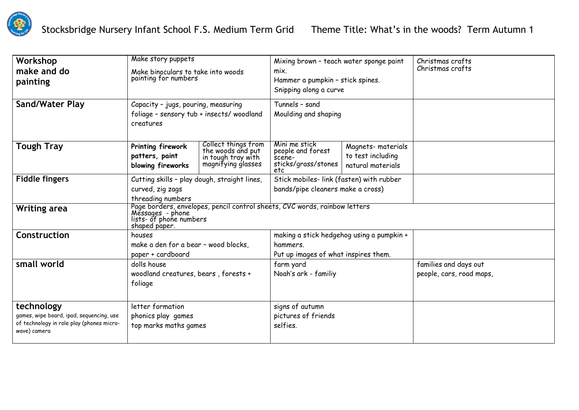

| Workshop                                                  | Make story puppets                                                                                                                         |                                                                                      | Mixing brown - teach water sponge paint                             |                                                             | Christmas crafts         |
|-----------------------------------------------------------|--------------------------------------------------------------------------------------------------------------------------------------------|--------------------------------------------------------------------------------------|---------------------------------------------------------------------|-------------------------------------------------------------|--------------------------|
| make and do                                               | Make binoculars to take into woods                                                                                                         |                                                                                      | mix.                                                                |                                                             | Christmas crafts         |
| painting                                                  | painting for numbers                                                                                                                       |                                                                                      | Hammer a pumpkin - stick spines.                                    |                                                             |                          |
|                                                           |                                                                                                                                            |                                                                                      | Snipping along a curve                                              |                                                             |                          |
| Sand/Water Play                                           | Capacity - jugs, pouring, measuring                                                                                                        |                                                                                      | Tunnels - sand                                                      |                                                             |                          |
|                                                           | foliage - sensory tub + insects/ woodland<br>creatures                                                                                     |                                                                                      | Moulding and shaping                                                |                                                             |                          |
| <b>Tough Tray</b>                                         | Printing firework<br>patters, paint<br>blowing fireworks                                                                                   | Collect things from<br>the woods and put<br>in tough tray with<br>magnifying glasses | Mini me stick<br>people and forest<br>scene-<br>sticks/grass/stones | Magnets-materials<br>to test including<br>natural materials |                          |
|                                                           |                                                                                                                                            |                                                                                      | etc                                                                 |                                                             |                          |
| <b>Fiddle fingers</b>                                     | Cutting skills - play dough, straight lines,                                                                                               |                                                                                      | Stick mobiles- link (fasten) with rubber                            |                                                             |                          |
|                                                           | curved, zig zags                                                                                                                           |                                                                                      | bands/pipe cleaners make a cross)                                   |                                                             |                          |
|                                                           | threading numbers                                                                                                                          |                                                                                      |                                                                     |                                                             |                          |
| <b>Writing area</b>                                       | Page borders, envelopes, pencil control sheets, CVC words, rainbow letters<br>Messages - phone<br>lists- of phone numbers<br>shaped paper. |                                                                                      |                                                                     |                                                             |                          |
| Construction                                              | houses                                                                                                                                     |                                                                                      | making a stick hedgehog using a pumpkin +                           |                                                             |                          |
|                                                           | make a den for a bear - wood blocks,                                                                                                       |                                                                                      | hammers.                                                            |                                                             |                          |
|                                                           | paper + cardboard                                                                                                                          |                                                                                      | Put up images of what inspires them.                                |                                                             |                          |
| small world                                               | dolls house                                                                                                                                |                                                                                      | farm yard                                                           |                                                             | families and days out    |
|                                                           | woodland creatures, bears, forests +                                                                                                       |                                                                                      | Noah's ark - familiy                                                |                                                             | people, cars, road maps, |
|                                                           | foliage                                                                                                                                    |                                                                                      |                                                                     |                                                             |                          |
|                                                           |                                                                                                                                            |                                                                                      |                                                                     |                                                             |                          |
| technology                                                | letter formation                                                                                                                           |                                                                                      | signs of autumn                                                     |                                                             |                          |
| games, wipe board, ipad, sequencing, use                  | phonics play games                                                                                                                         |                                                                                      | pictures of friends                                                 |                                                             |                          |
| of technology in role play (phones micro-<br>wave) camera | top marks maths games                                                                                                                      |                                                                                      | selfies.                                                            |                                                             |                          |
|                                                           |                                                                                                                                            |                                                                                      |                                                                     |                                                             |                          |